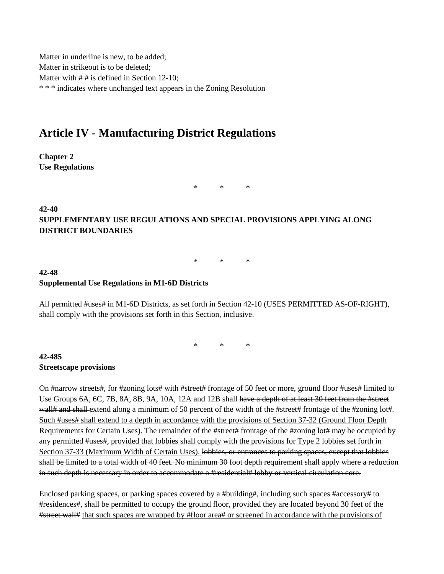Matter in underline is new, to be added; Matter in strikeout is to be deleted; Matter with  $# #$  is defined in Section 12-10; \* \* \* indicates where unchanged text appears in the Zoning Resolution

## **Article IV - Manufacturing District Regulations**

**Chapter 2 Use Regulations**

\* \* \*

## **42-40 SUPPLEMENTARY USE REGULATIONS AND SPECIAL PROVISIONS APPLYING ALONG DISTRICT BOUNDARIES**

\* \* \*

## **42-48 Supplemental Use Regulations in M1-6D Districts**

All permitted #uses# in M1-6D Districts, as set forth in Section 42-10 (USES PERMITTED AS-OF-RIGHT), shall comply with the provisions set forth in this Section, inclusive.

\* \* \*

## **42-485 Streetscape provisions**

On #narrow streets#, for #zoning lots# with #street# frontage of 50 feet or more, ground floor #uses# limited to Use Groups 6A, 6C, 7B, 8A, 8B, 9A, 10A, 12A and 12B shall have a depth of at least 30 feet from the #street wall# and shall extend along a minimum of 50 percent of the width of the #street# frontage of the #zoning lot#. Such #uses# shall extend to a depth in accordance with the provisions of Section 37-32 (Ground Floor Depth Requirements for Certain Uses). The remainder of the #street# frontage of the #zoning lot# may be occupied by any permitted #uses#, provided that lobbies shall comply with the provisions for Type 2 lobbies set forth in Section 37-33 (Maximum Width of Certain Uses). lobbies, or entrances to parking spaces, except that lobbies shall be limited to a total width of 40 feet. No minimum 30 foot depth requirement shall apply where a reduction in such depth is necessary in order to accommodate a #residential# lobby or vertical circulation core.

Enclosed parking spaces, or parking spaces covered by a #building#, including such spaces #accessory# to #residences#, shall be permitted to occupy the ground floor, provided they are located beyond 30 feet of the #street wall# that such spaces are wrapped by #floor area# or screened in accordance with the provisions of